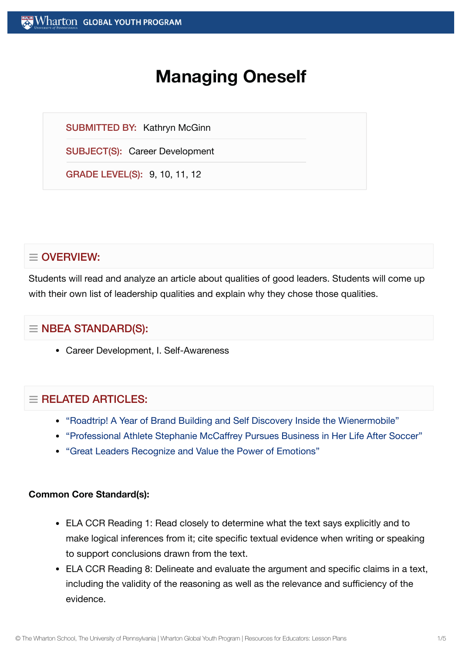# **Managing Oneself**

SUBMITTED BY: Kathryn McGinn

SUBJECT(S): Career Development

GRADE LEVEL(S): 9, 10, 11, 12

# $\equiv$  OVERVIEW:

Students will read and analyze an article about qualities of good leaders. Students will come up with their own list of leadership qualities and explain why they chose those qualities.

# $\equiv$  NBEA STANDARD(S):

Career Development, I. Self-Awareness

## $=$  RELATED ARTICLES:

- "Roadtrip! A Year of Brand Building and Self [Discovery Inside](https://globalyouth.wharton.upenn.edu/articles/roadtrip-year-brand-building-self-discovery-inside-wienermobile/) the Wienermobile"
- "Professional Athlete Stephanie [McCaffrey Pursues Business in](https://globalyouth.wharton.upenn.edu/articles/us-womens-national-soccer-team-player-pursues-business/) Her Life After Soccer"
- "Great [Leaders Recognize](https://globalyouth.wharton.upenn.edu/articles/great-leaders-recognize-value-power-emotions/) and Value the Power of Emotions"

#### **Common Core Standard(s):**

- ELA CCR Reading 1: Read closely to determine what the text says explicitly and to make logical inferences from it; cite specific textual evidence when writing or speaking to support conclusions drawn from the text.
- ELA CCR Reading 8: Delineate and evaluate the argument and specific claims in a text, including the validity of the reasoning as well as the relevance and sufficiency of the evidence.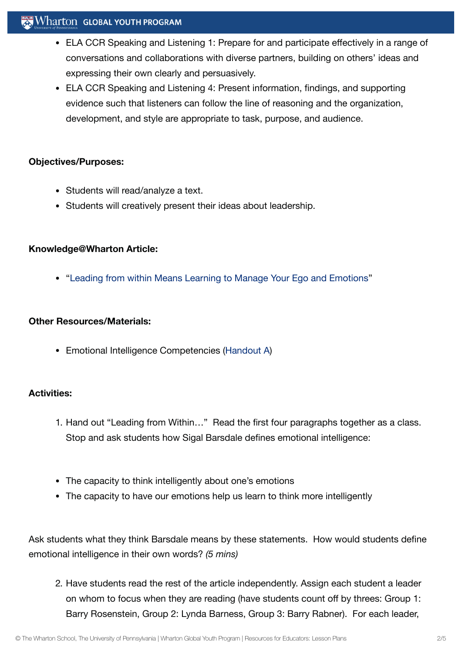## $\mathbf{W}$  Wharton Global youth program

- ELA CCR Speaking and Listening 1: Prepare for and participate effectively in a range of conversations and collaborations with diverse partners, building on others' ideas and expressing their own clearly and persuasively.
- ELA CCR Speaking and Listening 4: Present information, findings, and supporting evidence such that listeners can follow the line of reasoning and the organization, development, and style are appropriate to task, purpose, and audience.

#### **Objectives/Purposes:**

- Students will read/analyze a text.
- Students will creatively present their ideas about leadership.

#### **Knowledge@Wharton Article:**

"Leading from within [Means Learning](http://knowledge.wharton.upenn.edu/article.cfm?articleid=957) to Manage Your Ego and Emotions"

#### **Other Resources/Materials:**

Emotional Intelligence Competencies [\(Handout](https://globalyouth.wharton.upenn.edu/wp-content/uploads/2012/02/Career-Development-40_handoutA.pdf) A)

#### **Activities:**

- 1. Hand out "Leading from Within…" Read the first four paragraphs together as a class. Stop and ask students how Sigal Barsdale defines emotional intelligence:
- The capacity to think intelligently about one's emotions
- The capacity to have our emotions help us learn to think more intelligently

Ask students what they think Barsdale means by these statements. How would students define emotional intelligence in their own words? *(5 mins)*

2. Have students read the rest of the article independently. Assign each student a leader on whom to focus when they are reading (have students count off by threes: Group 1: Barry Rosenstein, Group 2: Lynda Barness, Group 3: Barry Rabner). For each leader,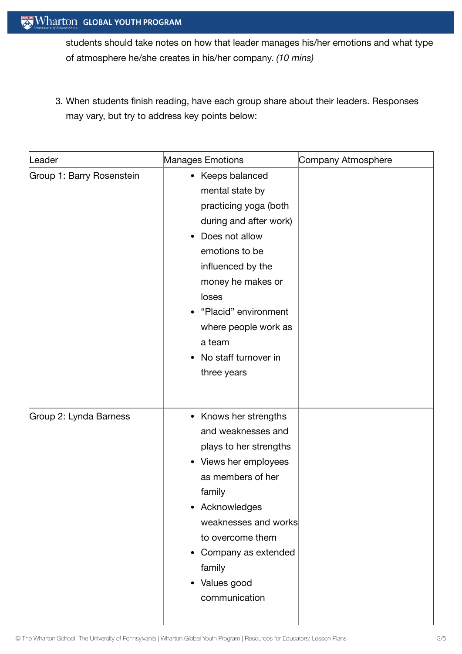students should take notes on how that leader manages his/her emotions and what type of atmosphere he/she creates in his/her company. *(10 mins)*

3. When students finish reading, have each group share about their leaders. Responses may vary, but try to address key points below:

| Leader                    | Manages Emotions                                                                                                                                                                                                                                                               | Company Atmosphere |
|---------------------------|--------------------------------------------------------------------------------------------------------------------------------------------------------------------------------------------------------------------------------------------------------------------------------|--------------------|
| Group 1: Barry Rosenstein | • Keeps balanced<br>mental state by<br>practicing yoga (both<br>during and after work)<br>Does not allow<br>emotions to be<br>influenced by the<br>money he makes or<br>loses<br>"Placid" environment<br>where people work as<br>a team<br>No staff turnover in<br>three years |                    |
| Group 2: Lynda Barness    | • Knows her strengths<br>and weaknesses and<br>plays to her strengths<br>• Views her employees<br>as members of her<br>family<br>• Acknowledges<br>weaknesses and works<br>to overcome them<br>• Company as extended<br>family<br>• Values good<br>communication               |                    |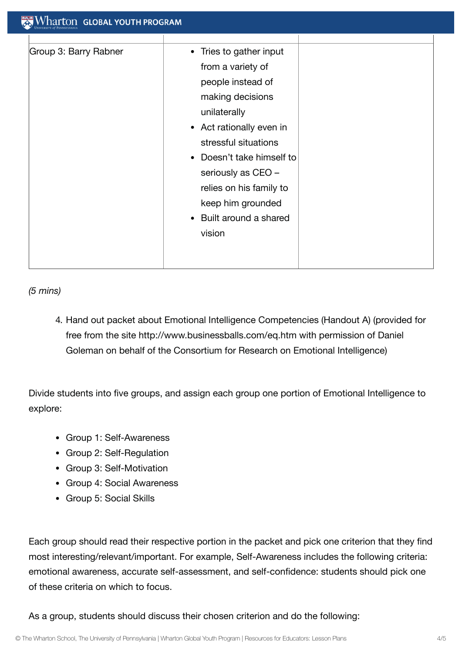| Group 3: Barry Rabner | • Tries to gather input              |
|-----------------------|--------------------------------------|
|                       | from a variety of                    |
|                       | people instead of                    |
|                       | making decisions                     |
|                       | unilaterally                         |
|                       | • Act rationally even in             |
|                       | stressful situations                 |
|                       | Doesn't take himself to<br>$\bullet$ |
|                       | seriously as CEO -                   |
|                       | relies on his family to              |
|                       | keep him grounded                    |
|                       | Built around a shared<br>$\bullet$   |
|                       | vision                               |

*(5 mins)*

4. Hand out packet about Emotional Intelligence Competencies (Handout A) (provided for free from the site http://www.businessballs.com/eq.htm with permission of Daniel Goleman on behalf of the Consortium for Research on Emotional Intelligence)

Divide students into five groups, and assign each group one portion of Emotional Intelligence to explore:

- Group 1: Self-Awareness
- Group 2: Self-Regulation
- Group 3: Self-Motivation
- Group 4: Social Awareness
- Group 5: Social Skills

Each group should read their respective portion in the packet and pick one criterion that they find most interesting/relevant/important. For example, Self-Awareness includes the following criteria: emotional awareness, accurate self-assessment, and self-confidence: students should pick one of these criteria on which to focus.

As a group, students should discuss their chosen criterion and do the following: